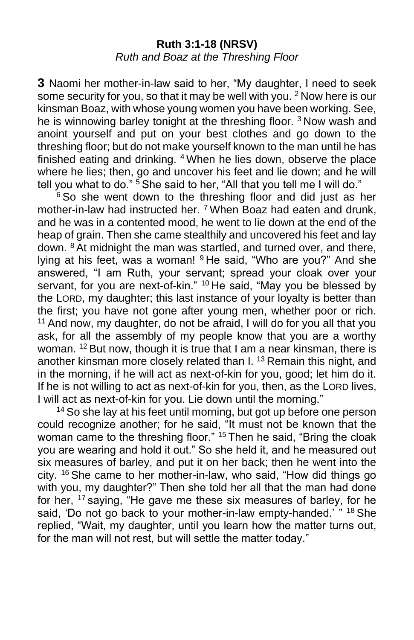#### **Ruth 3:1-18 (NRSV)** *Ruth and Boaz at the Threshing Floor*

**3** Naomi her mother-in-law said to her, "My daughter, I need to seek some security for you, so that it may be well with you. <sup>2</sup> Now here is our kinsman Boaz, with whose young women you have been working. See, he is winnowing barley tonight at the threshing floor. <sup>3</sup> Now wash and anoint yourself and put on your best clothes and go down to the threshing floor; but do not make yourself known to the man until he has finished eating and drinking. <sup>4</sup> When he lies down, observe the place where he lies; then, go and uncover his feet and lie down; and he will tell you what to do."  $5$  She said to her, "All that you tell me I will do."

 $6$  So she went down to the threshing floor and did just as her mother-in-law had instructed her. <sup>7</sup> When Boaz had eaten and drunk, and he was in a contented mood, he went to lie down at the end of the heap of grain. Then she came stealthily and uncovered his feet and lay down. <sup>8</sup> At midnight the man was startled, and turned over, and there, lying at his feet, was a woman! <sup>9</sup> He said, "Who are you?" And she answered, "I am Ruth, your servant; spread your cloak over your servant, for you are next-of-kin." <sup>10</sup> He said, "May you be blessed by the LORD, my daughter; this last instance of your loyalty is better than the first; you have not gone after young men, whether poor or rich. <sup>11</sup> And now, my daughter, do not be afraid, I will do for you all that you ask, for all the assembly of my people know that you are a worthy woman. <sup>12</sup> But now, though it is true that I am a near kinsman, there is another kinsman more closely related than I. <sup>13</sup> Remain this night, and in the morning, if he will act as next-of-kin for you, good; let him do it. If he is not willing to act as next-of-kin for you, then, as the LORD lives, I will act as next-of-kin for you. Lie down until the morning."

<sup>14</sup> So she lay at his feet until morning, but got up before one person could recognize another; for he said, "It must not be known that the woman came to the threshing floor." <sup>15</sup> Then he said, "Bring the cloak you are wearing and hold it out." So she held it, and he measured out six measures of barley, and put it on her back; then he went into the city. <sup>16</sup> She came to her mother-in-law, who said, "How did things go with you, my daughter?" Then she told her all that the man had done for her, <sup>17</sup> saying, "He gave me these six measures of barley, for he said, 'Do not go back to your mother-in-law empty-handed.' "18 She replied, "Wait, my daughter, until you learn how the matter turns out, for the man will not rest, but will settle the matter today."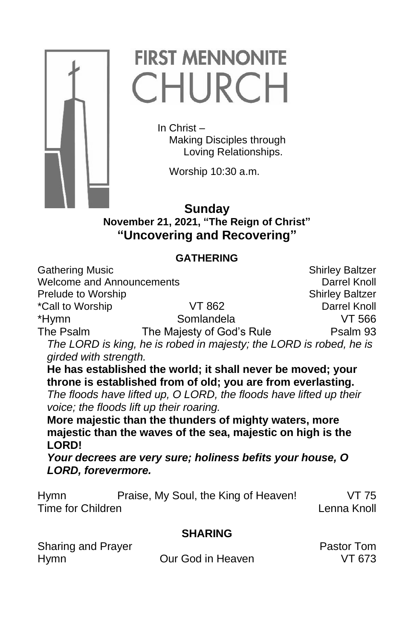

# **FIRST MENNONITE** CHURCH

In Christ – Making Disciples through Loving Relationships.

Worship 10:30 a.m.

# **Sunday November 21, 2021, "The Reign of Christ" "Uncovering and Recovering"**

# **GATHERING**

Gathering Music Shirley Baltzer<br>Welcome and Announcements Shirley Baltzer Shirley Baltzer Welcome and Announcements **Prelude to Worship Shirley Baltzer** Shirley Baltzer \*Call to Worship VT 862 Darrel Knoll \*Hymn Somlandela The Psalm The Majesty of God's Rule Psalm 93 *The LORD is king, he is robed in majesty; the LORD is robed, he is girded with strength.*  **He has established the world; it shall never be moved; your throne is established from of old; you are from everlasting.** *The floods have lifted up, O LORD, the floods have lifted up their voice; the floods lift up their roaring.* **More majestic than the thunders of mighty waters, more majestic than the waves of the sea, majestic on high is the LORD!** *Your decrees are very sure; holiness befits your house, O LORD, forevermore.*

| <b>Hymn</b>       | Praise, My Soul, the King of Heaven! | VT 75       |
|-------------------|--------------------------------------|-------------|
| Time for Children |                                      | Lenna Knoll |

# **SHARING**

| Sharing and Prayer |                   | <b>Pastor Tom</b> |
|--------------------|-------------------|-------------------|
| <b>Hymn</b>        | Our God in Heaven | VT 673            |

Pastor Tom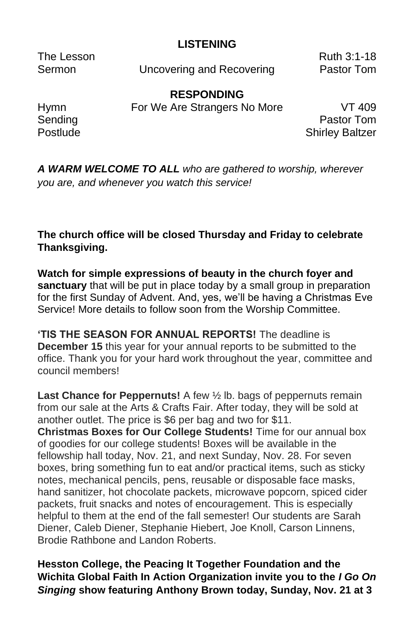### **LISTENING**

Sermon **Uncovering and Recovering Contact Pastor Tom** 

The Lesson **Ruth 3:1-18** 

**RESPONDING**

Hymn **For We Are Strangers No More** VT 409

Sending **Pastor Tom** Postlude **Shirley Baltzer** 

*A WARM WELCOME TO ALL who are gathered to worship, wherever you are, and whenever you watch this service!*

### **The church office will be closed Thursday and Friday to celebrate Thanksgiving.**

**Watch for simple expressions of beauty in the church foyer and sanctuary** that will be put in place today by a small group in preparation for the first Sunday of Advent. And, yes, we'll be having a Christmas Eve Service! More details to follow soon from the Worship Committee.

**'TIS THE SEASON FOR ANNUAL REPORTS!** The deadline is **December 15** this year for your annual reports to be submitted to the office. Thank you for your hard work throughout the year, committee and council members!

**Last Chance for Peppernuts!** A few ½ lb. bags of peppernuts remain from our sale at the Arts & Crafts Fair. After today, they will be sold at another outlet. The price is \$6 per bag and two for \$11. **Christmas Boxes for Our College Students!** Time for our annual box

of goodies for our college students! Boxes will be available in the fellowship hall today, Nov. 21, and next Sunday, Nov. 28. For seven boxes, bring something fun to eat and/or practical items, such as sticky notes, mechanical pencils, pens, reusable or disposable face masks, hand sanitizer, hot chocolate packets, microwave popcorn, spiced cider packets, fruit snacks and notes of encouragement. This is especially helpful to them at the end of the fall semester! Our students are Sarah Diener, Caleb Diener, Stephanie Hiebert, Joe Knoll, Carson Linnens, Brodie Rathbone and Landon Roberts.

**Hesston College, the Peacing It Together Foundation and the Wichita Global Faith In Action Organization invite you to the** *I Go On Singing* **show featuring Anthony Brown today, Sunday, Nov. 21 at 3**